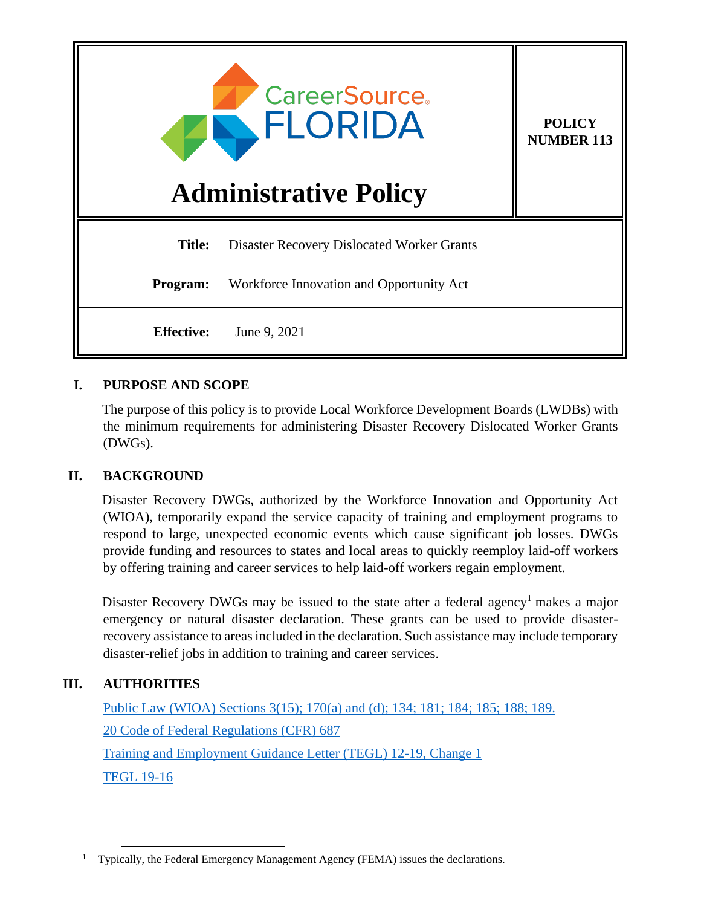

**POLICY NUMBER 113**

# **Administrative Policy**

| <b>Title:</b>     | Disaster Recovery Dislocated Worker Grants |
|-------------------|--------------------------------------------|
| <b>Program:</b>   | Workforce Innovation and Opportunity Act   |
| <b>Effective:</b> | June 9, 2021                               |

# **I. PURPOSE AND SCOPE**

The purpose of this policy is to provide Local Workforce Development Boards (LWDBs) with the minimum requirements for administering Disaster Recovery Dislocated Worker Grants (DWGs).

# **II. BACKGROUND**

Disaster Recovery DWGs, authorized by the Workforce Innovation and Opportunity Act (WIOA), temporarily expand the service capacity of training and employment programs to respond to large, unexpected economic events which cause significant job losses. DWGs provide funding and resources to states and local areas to quickly reemploy laid-off workers by offering training and career services to help laid-off workers regain employment.

Disaster Recovery DWGs may be issued to the state after a federal agency<sup>1</sup> makes a major emergency or natural disaster declaration. These grants can be used to provide disasterrecovery assistance to areas included in the declaration. Such assistance may include temporary disaster-relief jobs in addition to training and career services.

# **III. AUTHORITIES**

[Public Law \(WIOA\) Sections 3\(15\); 170\(a\) and \(d\); 134; 181; 184; 185; 188; 189.](https://www.govinfo.gov/content/pkg/PLAW-113publ128/pdf/PLAW-113publ128.pdf) [20 Code of Federal Regulations \(CFR\)](https://www.ecfr.gov/cgi-bin/text-idx?SID=1b680a26be4839724b2ce50eea8aafd7&mc=true&node=pt20.4.687&rgn=div5) 687 [Training and Employment](https://wdr.doleta.gov/directives/corr_doc.cfm?DOCN=5028) Guidance Letter (TEGL) 12-19, Change 1 [TEGL 19-16](https://wdr.doleta.gov/directives/corr_doc.cfm?DOCN=3851)

<sup>&</sup>lt;sup>1</sup> Typically, the Federal Emergency Management Agency (FEMA) issues the declarations.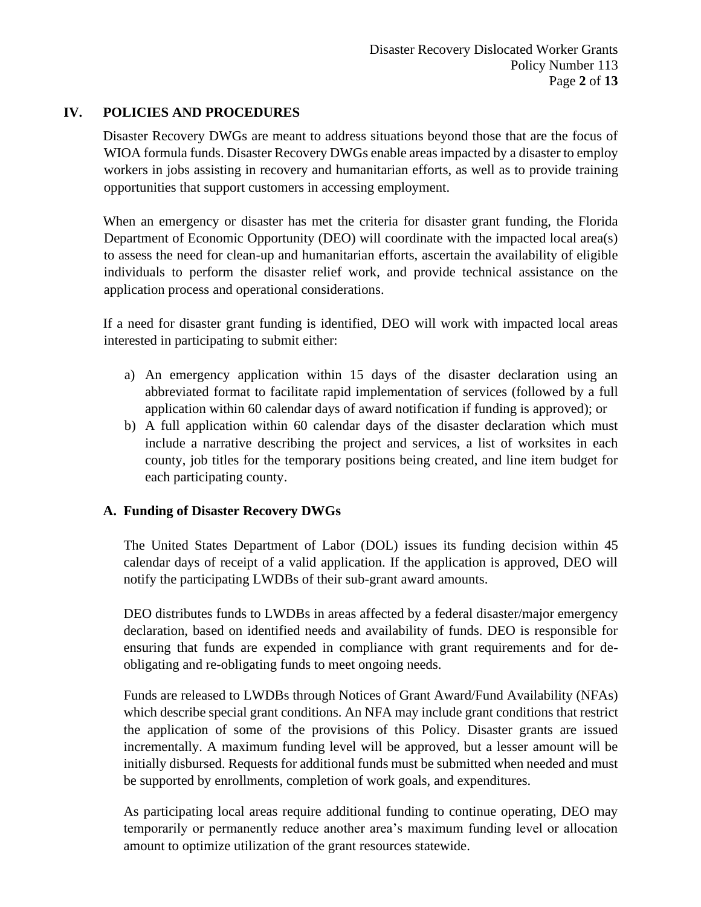## **IV. POLICIES AND PROCEDURES**

Disaster Recovery DWGs are meant to address situations beyond those that are the focus of WIOA formula funds. Disaster Recovery DWGs enable areas impacted by a disaster to employ workers in jobs assisting in recovery and humanitarian efforts, as well as to provide training opportunities that support customers in accessing employment.

When an emergency or disaster has met the criteria for disaster grant funding, the Florida Department of Economic Opportunity (DEO) will coordinate with the impacted local area(s) to assess the need for clean-up and humanitarian efforts, ascertain the availability of eligible individuals to perform the disaster relief work, and provide technical assistance on the application process and operational considerations.

If a need for disaster grant funding is identified, DEO will work with impacted local areas interested in participating to submit either:

- a) An emergency application within 15 days of the disaster declaration using an abbreviated format to facilitate rapid implementation of services (followed by a full application within 60 calendar days of award notification if funding is approved); or
- b) A full application within 60 calendar days of the disaster declaration which must include a narrative describing the project and services, a list of worksites in each county, job titles for the temporary positions being created, and line item budget for each participating county.

## **A. Funding of Disaster Recovery DWGs**

The United States Department of Labor (DOL) issues its funding decision within 45 calendar days of receipt of a valid application. If the application is approved, DEO will notify the participating LWDBs of their sub-grant award amounts.

DEO distributes funds to LWDBs in areas affected by a federal disaster/major emergency declaration, based on identified needs and availability of funds. DEO is responsible for ensuring that funds are expended in compliance with grant requirements and for deobligating and re-obligating funds to meet ongoing needs.

Funds are released to LWDBs through Notices of Grant Award/Fund Availability (NFAs) which describe special grant conditions. An NFA may include grant conditions that restrict the application of some of the provisions of this Policy. Disaster grants are issued incrementally. A maximum funding level will be approved, but a lesser amount will be initially disbursed. Requests for additional funds must be submitted when needed and must be supported by enrollments, completion of work goals, and expenditures.

As participating local areas require additional funding to continue operating, DEO may temporarily or permanently reduce another area's maximum funding level or allocation amount to optimize utilization of the grant resources statewide.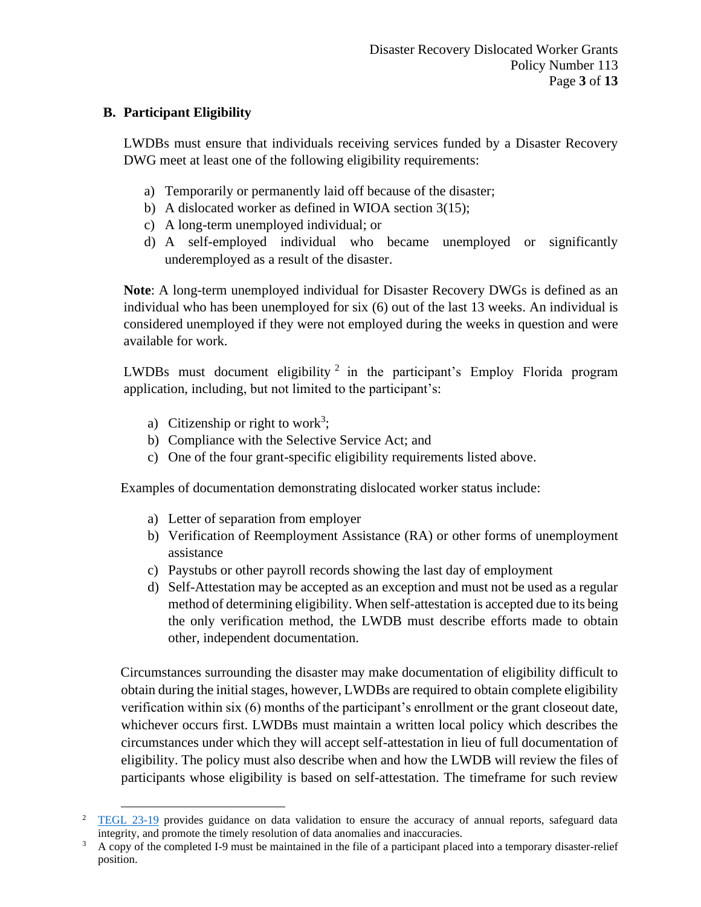# **B. Participant Eligibility**

LWDBs must ensure that individuals receiving services funded by a Disaster Recovery DWG meet at least one of the following eligibility requirements:

- a) Temporarily or permanently laid off because of the disaster;
- b) A dislocated worker as defined in WIOA section 3(15);
- c) A long-term unemployed individual; or
- d) A self-employed individual who became unemployed or significantly underemployed as a result of the disaster.

**Note**: A long-term unemployed individual for Disaster Recovery DWGs is defined as an individual who has been unemployed for six (6) out of the last 13 weeks. An individual is considered unemployed if they were not employed during the weeks in question and were available for work.

LWDBs must document eligibility<sup>2</sup> in the participant's Employ Florida program application, including, but not limited to the participant's:

- a) Citizenship or right to work<sup>3</sup>;
- b) Compliance with the Selective Service Act; and
- c) One of the four grant-specific eligibility requirements listed above.

Examples of documentation demonstrating dislocated worker status include:

- a) Letter of separation from employer
- b) Verification of Reemployment Assistance (RA) or other forms of unemployment assistance
- c) Paystubs or other payroll records showing the last day of employment
- d) Self-Attestation may be accepted as an exception and must not be used as a regular method of determining eligibility. When self-attestation is accepted due to its being the only verification method, the LWDB must describe efforts made to obtain other, independent documentation.

Circumstances surrounding the disaster may make documentation of eligibility difficult to obtain during the initial stages, however, LWDBs are required to obtain complete eligibility verification within six (6) months of the participant's enrollment or the grant closeout date, whichever occurs first. LWDBs must maintain a written local policy which describes the circumstances under which they will accept self-attestation in lieu of full documentation of eligibility. The policy must also describe when and how the LWDB will review the files of participants whose eligibility is based on self-attestation. The timeframe for such review

<sup>&</sup>lt;sup>2</sup> [TEGL 23-19](https://wdr.doleta.gov/directives/corr_doc.cfm?DOCN=9155) provides guidance on data validation to ensure the accuracy of annual reports, safeguard data integrity, and promote the timely resolution of data anomalies and inaccuracies.

<sup>&</sup>lt;sup>3</sup> A copy of the completed I-9 must be maintained in the file of a participant placed into a temporary disaster-relief position.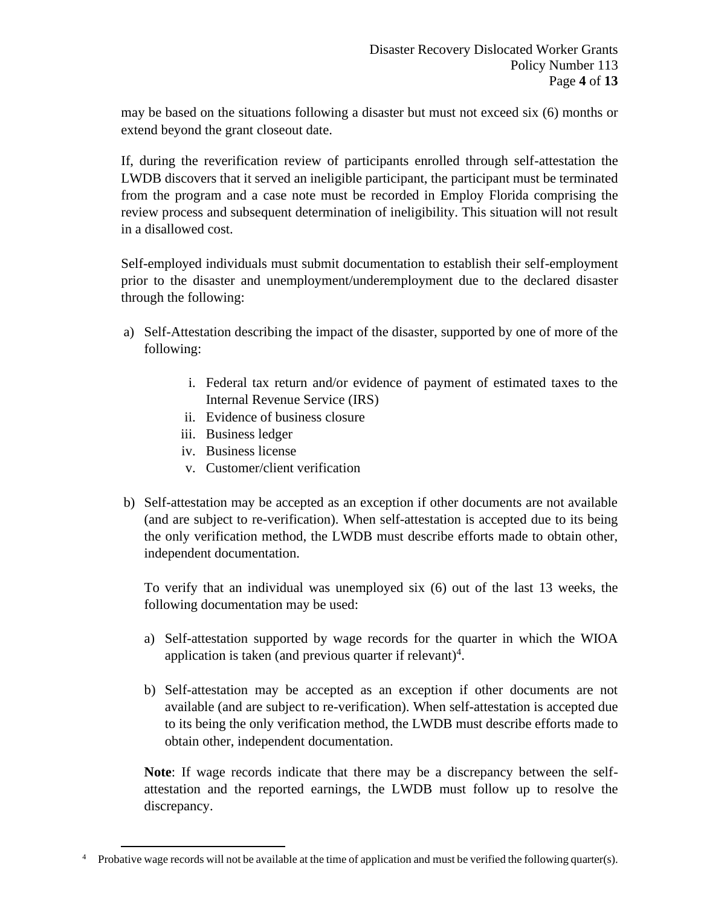may be based on the situations following a disaster but must not exceed six (6) months or extend beyond the grant closeout date.

If, during the reverification review of participants enrolled through self-attestation the LWDB discovers that it served an ineligible participant, the participant must be terminated from the program and a case note must be recorded in Employ Florida comprising the review process and subsequent determination of ineligibility. This situation will not result in a disallowed cost.

Self-employed individuals must submit documentation to establish their self-employment prior to the disaster and unemployment/underemployment due to the declared disaster through the following:

- a) Self-Attestation describing the impact of the disaster, supported by one of more of the following:
	- i. Federal tax return and/or evidence of payment of estimated taxes to the Internal Revenue Service (IRS)
	- ii. Evidence of business closure
	- iii. Business ledger
	- iv. Business license
	- v. Customer/client verification
- b) Self-attestation may be accepted as an exception if other documents are not available (and are subject to re-verification). When self-attestation is accepted due to its being the only verification method, the LWDB must describe efforts made to obtain other, independent documentation.

To verify that an individual was unemployed six (6) out of the last 13 weeks, the following documentation may be used:

- a) Self-attestation supported by wage records for the quarter in which the WIOA application is taken (and previous quarter if relevant)<sup>4</sup>.
- b) Self-attestation may be accepted as an exception if other documents are not available (and are subject to re-verification). When self-attestation is accepted due to its being the only verification method, the LWDB must describe efforts made to obtain other, independent documentation.

**Note**: If wage records indicate that there may be a discrepancy between the selfattestation and the reported earnings, the LWDB must follow up to resolve the discrepancy.

<sup>&</sup>lt;sup>4</sup> Probative wage records will not be available at the time of application and must be verified the following quarter(s).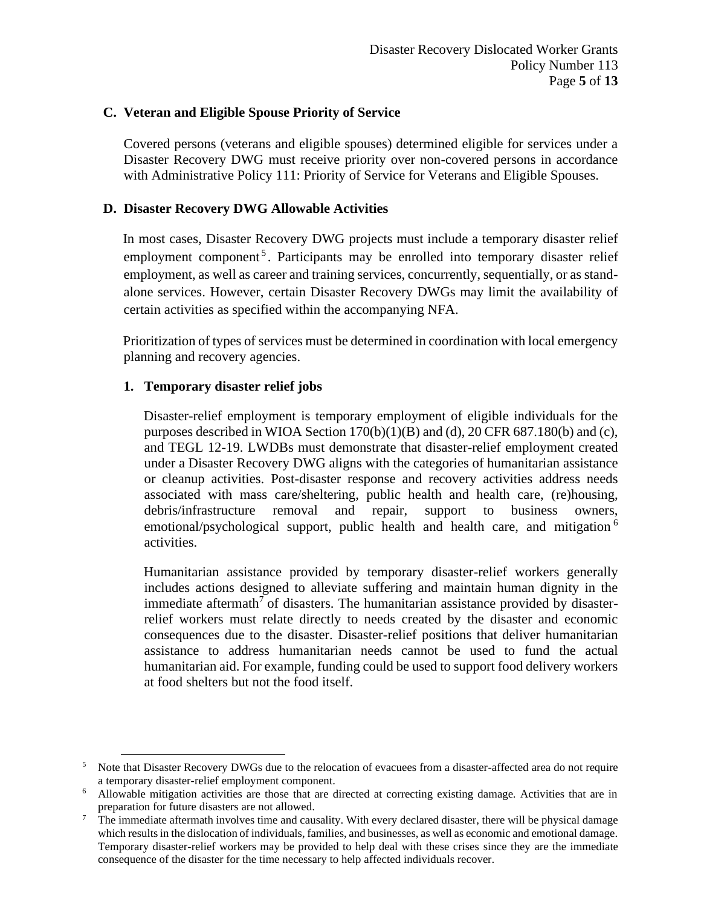#### **C. Veteran and Eligible Spouse Priority of Service**

Covered persons (veterans and eligible spouses) determined eligible for services under a Disaster Recovery DWG must receive priority over non-covered persons in accordance with Administrative Policy 111: Priority of Service for Veterans and Eligible Spouses.

## **D. Disaster Recovery DWG Allowable Activities**

In most cases, Disaster Recovery DWG projects must include a temporary disaster relief employment component<sup>5</sup>. Participants may be enrolled into temporary disaster relief employment, as well as career and training services, concurrently, sequentially, or as standalone services. However, certain Disaster Recovery DWGs may limit the availability of certain activities as specified within the accompanying NFA.

Prioritization of types of services must be determined in coordination with local emergency planning and recovery agencies.

## **1. Temporary disaster relief jobs**

Disaster-relief employment is temporary employment of eligible individuals for the purposes described in WIOA Section  $170(b)(1)(B)$  and (d), 20 CFR 687.180(b) and (c), and TEGL 12-19. LWDBs must demonstrate that disaster-relief employment created under a Disaster Recovery DWG aligns with the categories of humanitarian assistance or cleanup activities. Post-disaster response and recovery activities address needs associated with mass care/sheltering, public health and health care, (re)housing, debris/infrastructure removal and repair, support to business owners, emotional/psychological support, public health and health care, and mitigation  $6$ activities.

Humanitarian assistance provided by temporary disaster-relief workers generally includes actions designed to alleviate suffering and maintain human dignity in the immediate aftermath<sup>7</sup> of disasters. The humanitarian assistance provided by disasterrelief workers must relate directly to needs created by the disaster and economic consequences due to the disaster. Disaster-relief positions that deliver humanitarian assistance to address humanitarian needs cannot be used to fund the actual humanitarian aid. For example, funding could be used to support food delivery workers at food shelters but not the food itself.

<sup>&</sup>lt;sup>5</sup> Note that Disaster Recovery DWGs due to the relocation of evacuees from a disaster-affected area do not require a temporary disaster-relief employment component.

<sup>6</sup> Allowable mitigation activities are those that are directed at correcting existing damage. Activities that are in preparation for future disasters are not allowed.

 $<sup>7</sup>$  The immediate aftermath involves time and causality. With every declared disaster, there will be physical damage</sup> which results in the dislocation of individuals, families, and businesses, as well as economic and emotional damage. Temporary disaster-relief workers may be provided to help deal with these crises since they are the immediate consequence of the disaster for the time necessary to help affected individuals recover.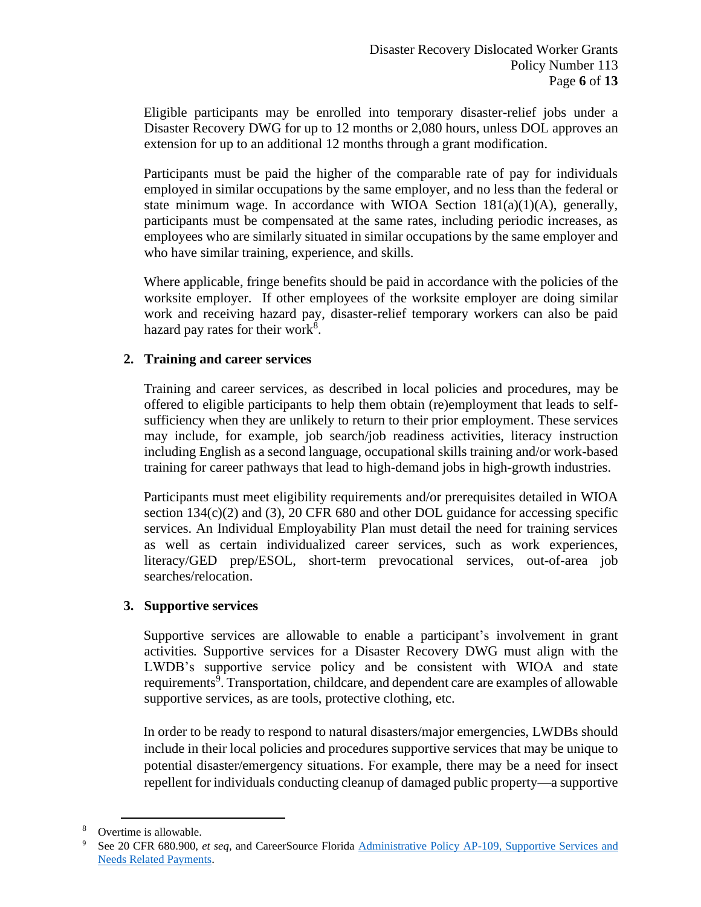Eligible participants may be enrolled into temporary disaster-relief jobs under a Disaster Recovery DWG for up to 12 months or 2,080 hours, unless DOL approves an extension for up to an additional 12 months through a grant modification.

Participants must be paid the higher of the comparable rate of pay for individuals employed in similar occupations by the same employer, and no less than the federal or state minimum wage. In accordance with WIOA Section  $181(a)(1)(A)$ , generally, participants must be compensated at the same rates, including periodic increases, as employees who are similarly situated in similar occupations by the same employer and who have similar training, experience, and skills.

Where applicable, fringe benefits should be paid in accordance with the policies of the worksite employer. If other employees of the worksite employer are doing similar work and receiving hazard pay, disaster-relief temporary workers can also be paid hazard pay rates for their work<sup>8</sup>.

## **2. Training and career services**

Training and career services, as described in local policies and procedures, may be offered to eligible participants to help them obtain (re)employment that leads to selfsufficiency when they are unlikely to return to their prior employment. These services may include, for example, job search/job readiness activities, literacy instruction including English as a second language, occupational skills training and/or work-based training for career pathways that lead to high-demand jobs in high-growth industries.

Participants must meet eligibility requirements and/or prerequisites detailed in WIOA section 134(c)(2) and (3), 20 CFR 680 and other DOL guidance for accessing specific services. An Individual Employability Plan must detail the need for training services as well as certain individualized career services, such as work experiences, literacy/GED prep/ESOL, short-term prevocational services, out-of-area job searches/relocation.

## **3. Supportive services**

Supportive services are allowable to enable a participant's involvement in grant activities*.* Supportive services for a Disaster Recovery DWG must align with the LWDB's supportive service policy and be consistent with WIOA and state requirements<sup>9</sup>. Transportation, childcare, and dependent care are examples of allowable supportive services, as are tools, protective clothing, etc.

In order to be ready to respond to natural disasters/major emergencies, LWDBs should include in their local policies and procedures supportive services that may be unique to potential disaster/emergency situations. For example, there may be a need for insect repellent for individuals conducting cleanup of damaged public property—a supportive

Overtime is allowable.

<sup>9</sup> See 20 CFR 680.900, *et seq,* and CareerSource Florida [Administrative Policy AP-109, Supportive Services](http://floridajobs.org/docs/default-source/lwdb-resources/policy-and-guidance/guidance-papers/2021-guidance-papers/adminpol109_wioa_supportiveservicesandneedsrelatedpayments---final-02-22-21.pdf?sfvrsn=81714db0_2) and [Needs Related Payments.](http://floridajobs.org/docs/default-source/lwdb-resources/policy-and-guidance/guidance-papers/2021-guidance-papers/adminpol109_wioa_supportiveservicesandneedsrelatedpayments---final-02-22-21.pdf?sfvrsn=81714db0_2)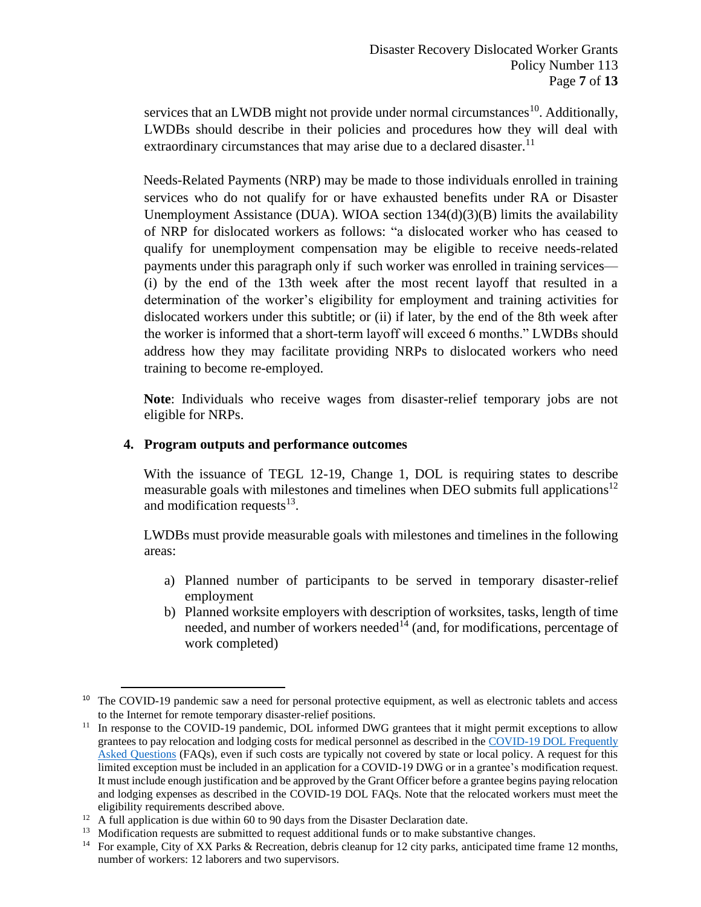services that an LWDB might not provide under normal circumstances<sup>10</sup>. Additionally, LWDBs should describe in their policies and procedures how they will deal with extraordinary circumstances that may arise due to a declared disaster.<sup>11</sup>

Needs-Related Payments (NRP) may be made to those individuals enrolled in training services who do not qualify for or have exhausted benefits under RA or Disaster Unemployment Assistance (DUA). WIOA section 134(d)(3)(B) limits the availability of NRP for dislocated workers as follows: "a dislocated worker who has ceased to qualify for unemployment compensation may be eligible to receive needs-related payments under this paragraph only if such worker was enrolled in training services— (i) by the end of the 13th week after the most recent layoff that resulted in a determination of the worker's eligibility for employment and training activities for dislocated workers under this subtitle; or (ii) if later, by the end of the 8th week after the worker is informed that a short-term layoff will exceed 6 months." LWDBs should address how they may facilitate providing NRPs to dislocated workers who need training to become re-employed.

**Note**: Individuals who receive wages from disaster-relief temporary jobs are not eligible for NRPs.

#### **4. Program outputs and performance outcomes**

With the issuance of TEGL 12-19, Change 1, DOL is requiring states to describe measurable goals with milestones and timelines when DEO submits full applications<sup>12</sup> and modification requests $^{13}$ .

LWDBs must provide measurable goals with milestones and timelines in the following areas:

- a) Planned number of participants to be served in temporary disaster-relief employment
- b) Planned worksite employers with description of worksites, tasks, length of time needed, and number of workers needed<sup>14</sup> (and, for modifications, percentage of work completed)

<sup>&</sup>lt;sup>10</sup> The COVID-19 pandemic saw a need for personal protective equipment, as well as electronic tablets and access to the Internet for remote temporary disaster-relief positions.

<sup>&</sup>lt;sup>11</sup> In response to the COVID-19 pandemic, DOL informed DWG grantees that it might permit exceptions to allow grantees to pay relocation and lodging costs for medical personnel as described in th[e COVID-19 DOL](https://www.dol.gov/agencies/eta/coronavirus) Frequently [Asked Questions](https://www.dol.gov/agencies/eta/coronavirus) (FAQs), even if such costs are typically not covered by state or local policy. A request for this limited exception must be included in an application for a COVID-19 DWG or in a grantee's modification request. It must include enough justification and be approved by the Grant Officer before a grantee begins paying relocation and lodging expenses as described in the COVID-19 DOL FAQs. Note that the relocated workers must meet the eligibility requirements described above.

 $12$  A full application is due within 60 to 90 days from the Disaster Declaration date.

<sup>&</sup>lt;sup>13</sup> Modification requests are submitted to request additional funds or to make substantive changes.

<sup>&</sup>lt;sup>14</sup> For example, City of XX Parks & Recreation, debris cleanup for 12 city parks, anticipated time frame 12 months, number of workers: 12 laborers and two supervisors.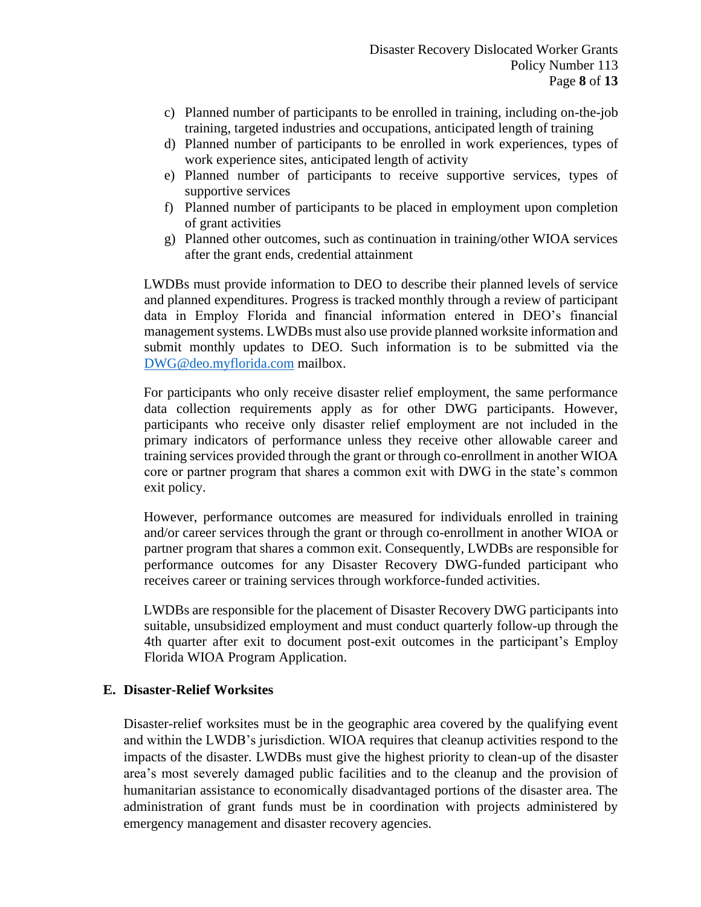- c) Planned number of participants to be enrolled in training, including on-the-job training, targeted industries and occupations, anticipated length of training
- d) Planned number of participants to be enrolled in work experiences, types of work experience sites, anticipated length of activity
- e) Planned number of participants to receive supportive services, types of supportive services
- f) Planned number of participants to be placed in employment upon completion of grant activities
- g) Planned other outcomes, such as continuation in training/other WIOA services after the grant ends, credential attainment

LWDBs must provide information to DEO to describe their planned levels of service and planned expenditures. Progress is tracked monthly through a review of participant data in Employ Florida and financial information entered in DEO's financial management systems. LWDBs must also use provide planned worksite information and submit monthly updates to DEO. Such information is to be submitted via the [DWG@deo.myflorida.com](mailto:DWG@deo.myflorida.com) mailbox.

For participants who only receive disaster relief employment, the same performance data collection requirements apply as for other DWG participants. However, participants who receive only disaster relief employment are not included in the primary indicators of performance unless they receive other allowable career and training services provided through the grant or through co-enrollment in another WIOA core or partner program that shares a common exit with DWG in the state's common exit policy.

However, performance outcomes are measured for individuals enrolled in training and/or career services through the grant or through co-enrollment in another WIOA or partner program that shares a common exit. Consequently, LWDBs are responsible for performance outcomes for any Disaster Recovery DWG-funded participant who receives career or training services through workforce-funded activities.

LWDBs are responsible for the placement of Disaster Recovery DWG participants into suitable, unsubsidized employment and must conduct quarterly follow-up through the 4th quarter after exit to document post-exit outcomes in the participant's Employ Florida WIOA Program Application.

#### **E. Disaster-Relief Worksites**

Disaster-relief worksites must be in the geographic area covered by the qualifying event and within the LWDB's jurisdiction. WIOA requires that cleanup activities respond to the impacts of the disaster. LWDBs must give the highest priority to clean-up of the disaster area's most severely damaged public facilities and to the cleanup and the provision of humanitarian assistance to economically disadvantaged portions of the disaster area. The administration of grant funds must be in coordination with projects administered by emergency management and disaster recovery agencies.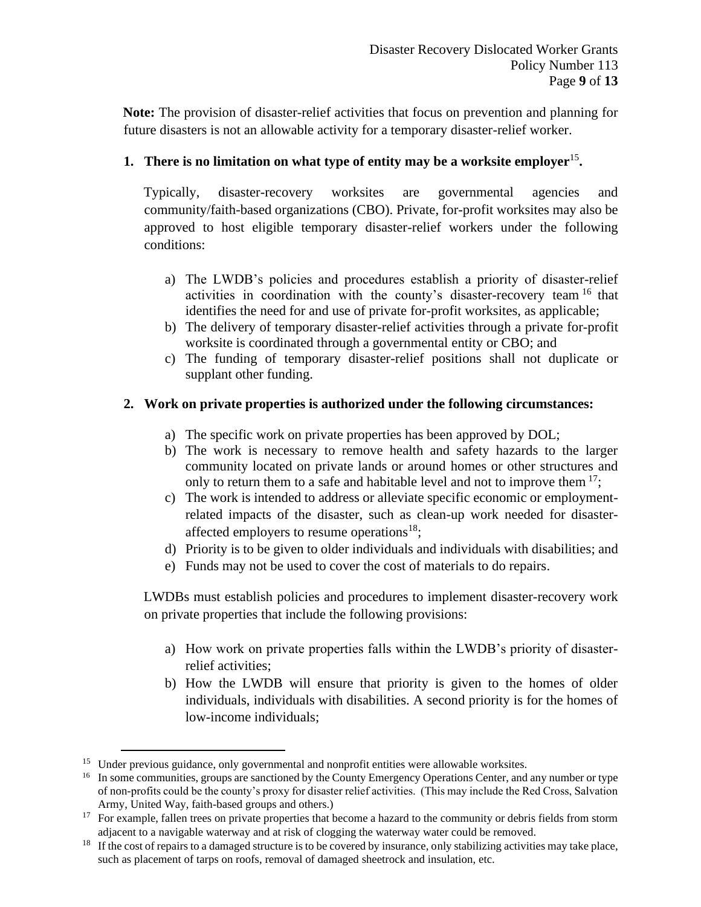**Note:** The provision of disaster-relief activities that focus on prevention and planning for future disasters is not an allowable activity for a temporary disaster-relief worker.

# **1. There is no limitation on what type of entity may be a worksite employer**<sup>15</sup> **.**

Typically, disaster-recovery worksites are governmental agencies and community/faith-based organizations (CBO). Private, for-profit worksites may also be approved to host eligible temporary disaster-relief workers under the following conditions:

- a) The LWDB's policies and procedures establish a priority of disaster-relief activities in coordination with the county's disaster-recovery team <sup>16</sup> that identifies the need for and use of private for-profit worksites, as applicable;
- b) The delivery of temporary disaster-relief activities through a private for-profit worksite is coordinated through a governmental entity or CBO; and
- c) The funding of temporary disaster-relief positions shall not duplicate or supplant other funding.

# **2. Work on private properties is authorized under the following circumstances:**

- a) The specific work on private properties has been approved by DOL;
- b) The work is necessary to remove health and safety hazards to the larger community located on private lands or around homes or other structures and only to return them to a safe and habitable level and not to improve them  $17$ ;
- c) The work is intended to address or alleviate specific economic or employmentrelated impacts of the disaster, such as clean-up work needed for disasteraffected employers to resume operations<sup>18</sup>;
- d) Priority is to be given to older individuals and individuals with disabilities; and
- e) Funds may not be used to cover the cost of materials to do repairs.

LWDBs must establish policies and procedures to implement disaster-recovery work on private properties that include the following provisions:

- a) How work on private properties falls within the LWDB's priority of disasterrelief activities;
- b) How the LWDB will ensure that priority is given to the homes of older individuals, individuals with disabilities. A second priority is for the homes of low-income individuals;

<sup>&</sup>lt;sup>15</sup> Under previous guidance, only governmental and nonprofit entities were allowable worksites.

<sup>&</sup>lt;sup>16</sup> In some communities, groups are sanctioned by the County Emergency Operations Center, and any number or type of non-profits could be the county's proxy for disaster relief activities. (This may include the Red Cross, Salvation Army, United Way, faith-based groups and others.)

<sup>&</sup>lt;sup>17</sup> For example, fallen trees on private properties that become a hazard to the community or debris fields from storm adjacent to a navigable waterway and at risk of clogging the waterway water could be removed.

<sup>&</sup>lt;sup>18</sup> If the cost of repairs to a damaged structure is to be covered by insurance, only stabilizing activities may take place, such as placement of tarps on roofs, removal of damaged sheetrock and insulation, etc.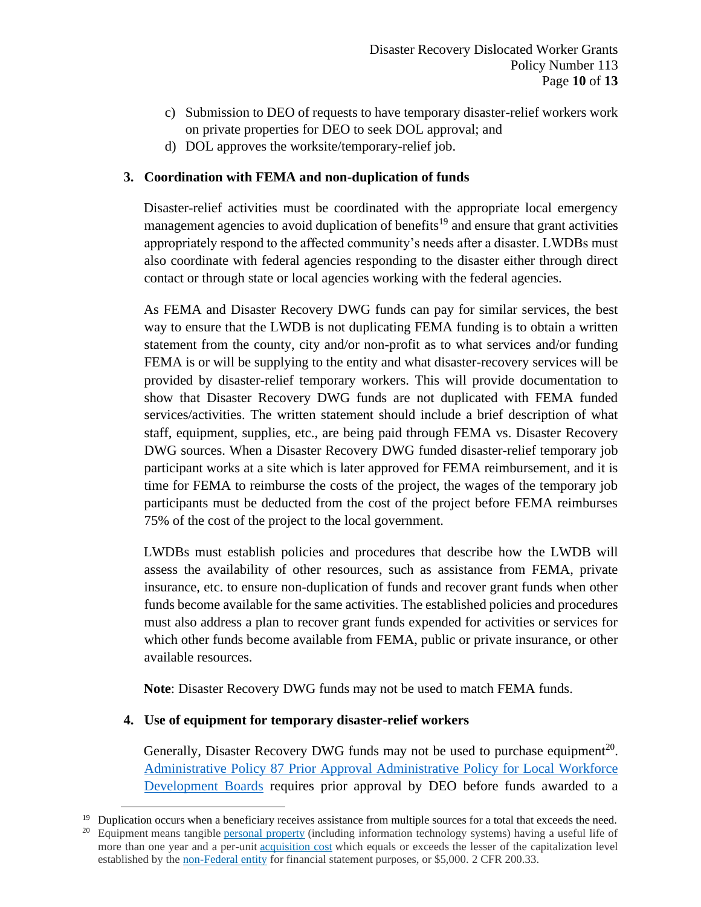- c) Submission to DEO of requests to have temporary disaster-relief workers work on private properties for DEO to seek DOL approval; and
- d) DOL approves the worksite/temporary-relief job.

# **3. Coordination with FEMA and non-duplication of funds**

Disaster-relief activities must be coordinated with the appropriate local emergency management agencies to avoid duplication of benefits<sup>19</sup> and ensure that grant activities appropriately respond to the affected community's needs after a disaster. LWDBs must also coordinate with federal agencies responding to the disaster either through direct contact or through state or local agencies working with the federal agencies.

As FEMA and Disaster Recovery DWG funds can pay for similar services, the best way to ensure that the LWDB is not duplicating FEMA funding is to obtain a written statement from the county, city and/or non-profit as to what services and/or funding FEMA is or will be supplying to the entity and what disaster-recovery services will be provided by disaster-relief temporary workers. This will provide documentation to show that Disaster Recovery DWG funds are not duplicated with FEMA funded services/activities. The written statement should include a brief description of what staff, equipment, supplies, etc., are being paid through FEMA vs. Disaster Recovery DWG sources. When a Disaster Recovery DWG funded disaster-relief temporary job participant works at a site which is later approved for FEMA reimbursement, and it is time for FEMA to reimburse the costs of the project, the wages of the temporary job participants must be deducted from the cost of the project before FEMA reimburses 75% of the cost of the project to the local government.

LWDBs must establish policies and procedures that describe how the LWDB will assess the availability of other resources, such as assistance from FEMA, private insurance, etc. to ensure non-duplication of funds and recover grant funds when other funds become available for the same activities. The established policies and procedures must also address a plan to recover grant funds expended for activities or services for which other funds become available from FEMA, public or private insurance, or other available resources.

**Note**: Disaster Recovery DWG funds may not be used to match FEMA funds.

# **4. Use of equipment for temporary disaster-relief workers**

Generally, Disaster Recovery DWG funds may not be used to purchase equipment<sup>20</sup>. Administrative Policy 87 [Prior Approval Administrative Policy for Local Workforce](https://floridajobs.org/docs/default-source/lwdb-resources/lwdb-grants-management/guidance-papers/2017-guidance-papers/federal_grant_award-priorapprovaladministrativepolicyrwb.pdf?sfvrsn=717e75b0_2)  [Development Boards](https://floridajobs.org/docs/default-source/lwdb-resources/lwdb-grants-management/guidance-papers/2017-guidance-papers/federal_grant_award-priorapprovaladministrativepolicyrwb.pdf?sfvrsn=717e75b0_2) requires prior approval by DEO before funds awarded to a

 $19$  Duplication occurs when a beneficiary receives assistance from multiple sources for a total that exceeds the need.

<sup>&</sup>lt;sup>20</sup> Equipment means tangible [personal property](https://www.law.cornell.edu/definitions/index.php?width=840&height=800&iframe=true&def_id=69fe794be5eab95f69a9fdcad5815f5b&term_occur=999&term_src=Title:2:Subtitle:A:Chapter:II:Part:200:Subpart:A:Subjgrp:27:200.33) (including information technology systems) having a useful life of more than one year and a per-unit [acquisition cost](https://www.law.cornell.edu/definitions/index.php?width=840&height=800&iframe=true&def_id=5acff7d5097bf48e11513f2725dc6d45&term_occur=999&term_src=Title:2:Subtitle:A:Chapter:II:Part:200:Subpart:A:Subjgrp:27:200.33) which equals or exceeds the lesser of the capitalization level established by the [non-Federal entity](https://www.law.cornell.edu/definitions/index.php?width=840&height=800&iframe=true&def_id=e70d4d5b3d21f635ea2aec391214bde6&term_occur=999&term_src=Title:2:Subtitle:A:Chapter:II:Part:200:Subpart:A:Subjgrp:27:200.33) for financial statement purposes, or \$5,000. 2 CFR 200.33.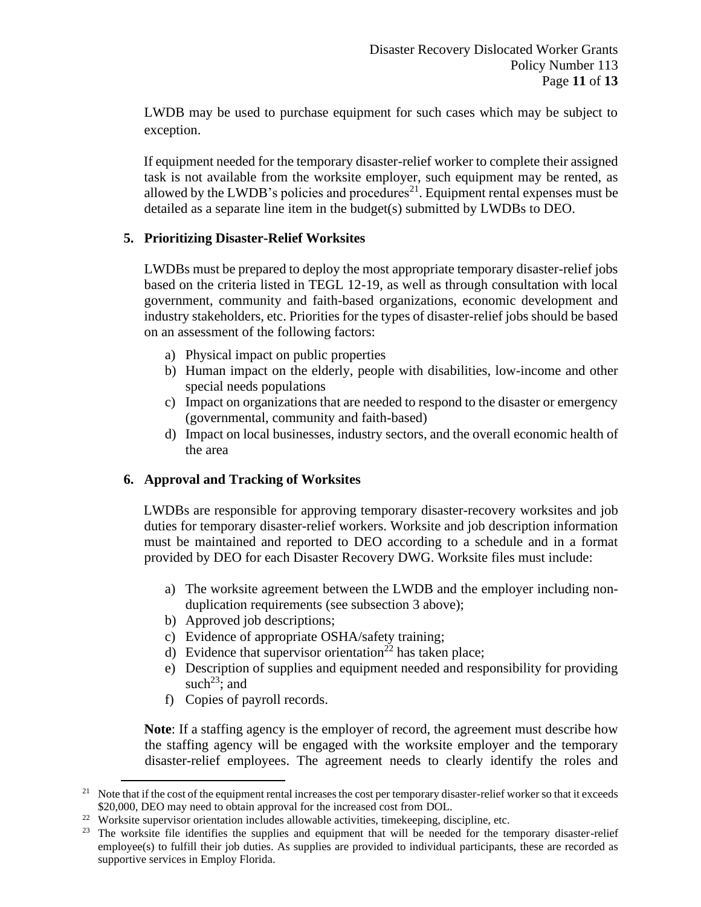LWDB may be used to purchase equipment for such cases which may be subject to exception.

If equipment needed for the temporary disaster-relief worker to complete their assigned task is not available from the worksite employer, such equipment may be rented, as allowed by the LWDB's policies and procedures $^{21}$ . Equipment rental expenses must be detailed as a separate line item in the budget(s) submitted by LWDBs to DEO.

## **5. Prioritizing Disaster-Relief Worksites**

LWDBs must be prepared to deploy the most appropriate temporary disaster-relief jobs based on the criteria listed in TEGL 12-19, as well as through consultation with local government, community and faith-based organizations, economic development and industry stakeholders, etc. Priorities for the types of disaster-relief jobs should be based on an assessment of the following factors:

- a) Physical impact on public properties
- b) Human impact on the elderly, people with disabilities, low-income and other special needs populations
- c) Impact on organizations that are needed to respond to the disaster or emergency (governmental, community and faith-based)
- d) Impact on local businesses, industry sectors, and the overall economic health of the area

# **6. Approval and Tracking of Worksites**

LWDBs are responsible for approving temporary disaster-recovery worksites and job duties for temporary disaster-relief workers. Worksite and job description information must be maintained and reported to DEO according to a schedule and in a format provided by DEO for each Disaster Recovery DWG. Worksite files must include:

- a) The worksite agreement between the LWDB and the employer including nonduplication requirements (see subsection 3 above);
- b) Approved job descriptions;
- c) Evidence of appropriate OSHA/safety training;
- d) Evidence that supervisor orientation<sup>22</sup> has taken place;
- e) Description of supplies and equipment needed and responsibility for providing such<sup>23</sup>; and
- f) Copies of payroll records.

**Note**: If a staffing agency is the employer of record, the agreement must describe how the staffing agency will be engaged with the worksite employer and the temporary disaster-relief employees. The agreement needs to clearly identify the roles and

<sup>&</sup>lt;sup>21</sup> Note that if the cost of the equipment rental increases the cost per temporary disaster-relief worker so that it exceeds \$20,000, DEO may need to obtain approval for the increased cost from DOL.

<sup>&</sup>lt;sup>22</sup> Worksite supervisor orientation includes allowable activities, time keeping, discipline, etc.

<sup>&</sup>lt;sup>23</sup> The worksite file identifies the supplies and equipment that will be needed for the temporary disaster-relief employee(s) to fulfill their job duties. As supplies are provided to individual participants, these are recorded as supportive services in Employ Florida.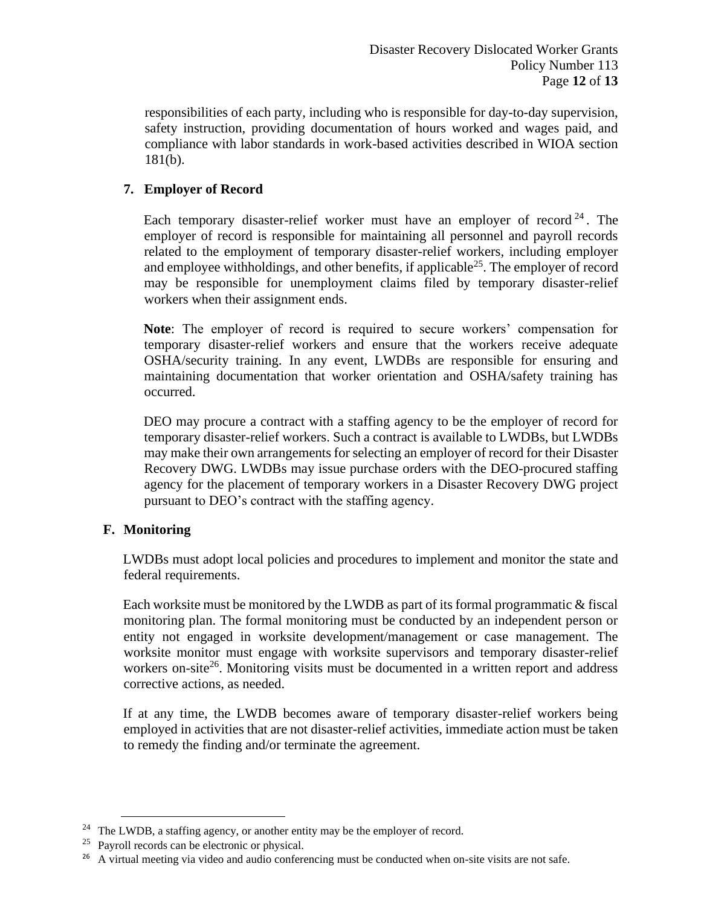responsibilities of each party, including who is responsible for day-to-day supervision, safety instruction, providing documentation of hours worked and wages paid, and compliance with labor standards in work-based activities described in WIOA section 181(b).

# **7. Employer of Record**

Each temporary disaster-relief worker must have an employer of record<sup>24</sup>. The employer of record is responsible for maintaining all personnel and payroll records related to the employment of temporary disaster-relief workers, including employer and employee withholdings, and other benefits, if applicable<sup>25</sup>. The employer of record may be responsible for unemployment claims filed by temporary disaster-relief workers when their assignment ends.

**Note**: The employer of record is required to secure workers' compensation for temporary disaster-relief workers and ensure that the workers receive adequate OSHA/security training. In any event, LWDBs are responsible for ensuring and maintaining documentation that worker orientation and OSHA/safety training has occurred.

DEO may procure a contract with a staffing agency to be the employer of record for temporary disaster-relief workers. Such a contract is available to LWDBs, but LWDBs may make their own arrangements for selecting an employer of record for their Disaster Recovery DWG. LWDBs may issue purchase orders with the DEO-procured staffing agency for the placement of temporary workers in a Disaster Recovery DWG project pursuant to DEO's contract with the staffing agency.

## **F. Monitoring**

LWDBs must adopt local policies and procedures to implement and monitor the state and federal requirements.

Each worksite must be monitored by the LWDB as part of its formal programmatic & fiscal monitoring plan. The formal monitoring must be conducted by an independent person or entity not engaged in worksite development/management or case management. The worksite monitor must engage with worksite supervisors and temporary disaster-relief workers on-site<sup>26</sup>. Monitoring visits must be documented in a written report and address corrective actions, as needed.

If at any time, the LWDB becomes aware of temporary disaster-relief workers being employed in activities that are not disaster-relief activities, immediate action must be taken to remedy the finding and/or terminate the agreement.

<sup>&</sup>lt;sup>24</sup> The LWDB, a staffing agency, or another entity may be the employer of record.

<sup>25</sup> Payroll records can be electronic or physical.

<sup>&</sup>lt;sup>26</sup> A virtual meeting via video and audio conferencing must be conducted when on-site visits are not safe.